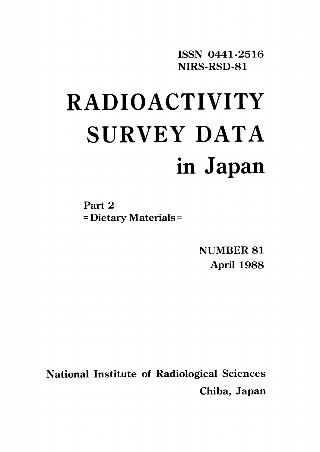ISSN 0441-2516 NIRS-RSD-81

# **RADIOACTIVITY** SURVEY DATA in Japan

Part 2 = Dietary Materials =

> NUMBER 81 April 1988

National Institute of Radiological Sciences Chiba, Japan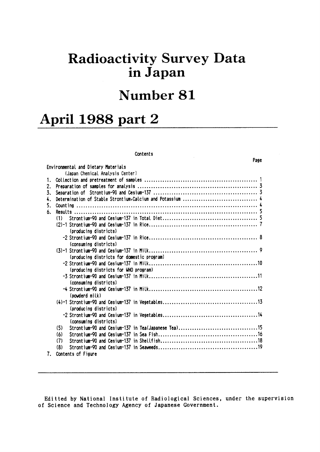## **Radioactivity Survey Data** in Japan

## Number 81

 $\sim$ 

Page

## April 1988 part 2

#### Contents

|    | Environmental and Dietary Materials        |  |
|----|--------------------------------------------|--|
|    | (Japan Chemical Analysis Center)           |  |
| 1. |                                            |  |
| 2. |                                            |  |
| 3. |                                            |  |
| 4. |                                            |  |
| 5. |                                            |  |
| 6. |                                            |  |
|    | (1)                                        |  |
|    |                                            |  |
|    | (producing districts)                      |  |
|    |                                            |  |
|    | (consuming districts)                      |  |
|    |                                            |  |
|    | (producing districts for domestic program) |  |
|    |                                            |  |
|    | (producing districts for WHO program)      |  |
|    |                                            |  |
|    | (consuming districts)                      |  |
|    |                                            |  |
|    | (powderd milk)                             |  |
|    |                                            |  |
|    | (producing districts)                      |  |
|    |                                            |  |
|    | (consuming districts)                      |  |
|    | (5)                                        |  |
|    | (6)                                        |  |
|    | (7)                                        |  |
|    | (8)                                        |  |
| 7. | Contents of Figure                         |  |
|    |                                            |  |

Editted by National Institute of Radiological Sciences, under the supervision of Science and Technology Agency of Japanese Government.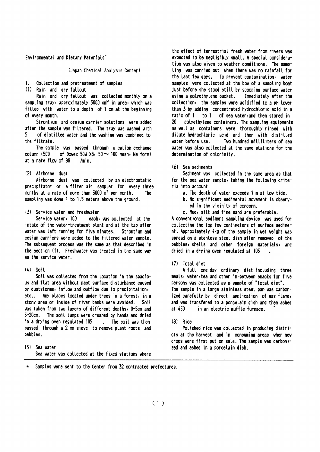Environmental and Dietary Materials"

(Japan Chemical Analysis Center)

#### 1. Collection and pretreatment of samples

(1) Rain and dry fallout

Rain and dry fallout was collected monthly on a sampling tray, approximately 5000 cm<sup>2</sup> in area, which was filled with water to a depth of 1 cm at the beginning of every month.

Strontium and cesium carrier solutions were added after the sample was filtered. The tray was washed with K. of distilled water and the washing was combined to the filtrate.

The sample was passed through a cation exchange column (500 of Dowex 50W X8, 50  $\sim$  100 mesh, Na form) at a rate flow of 80  $/min.$ 

#### (2) Airborne dust

Airborne dust was collected by an electrostatic precipitator or a filter air sampler for every three months at a rate of more than  $3000 \text{ m}^3$  per month. The sampling was done 1 to 1.5 meters above the ground.

#### (3) Service water and freshwater

Service vater, 100 each, was collected at the intake of the water-treatment plant and at the tap after water was left running for five minutes. Strontium and cesium carriers were added to the filtered water sample. The subsequent process was the same as that described in the section (1). Freshwater was treated in the same way as the service water.

#### $(4)$  Soil

Soil was collected from the location in the spacious and flat area without past surface disturbance caused by duststorms, inflow and outflow due to precipitation, etc.. Any places located under trees in a forest, in a stony area or inside of river banks were avoided. Soil was taken from two layers of different depths, 0-5cm and  $5 - 20$ cm. The soil lumps were crushed by hands and dried in a drying oven regulated 105 . The soil was then passed through a 2 mm sieve to remove plant roots and pebbles.

(5) Sea water Sea water was collected at the fixed stations where the effect of terrestrial fresh water from rivers was expected to be negligibly small. A special consideration was also given to weather conditions. The sampling was carried out when there was no rainfall for the last few days. To prevent contamination, water samples were collected at the bow of a sampling boat just before she stood still by scooping surface water using a polyethylene bucket. Immediately after the collection, the samples were acidified to a pH lower than 3 by adding concentrated hydrochloric acid in a ratio of 1 to 1 of sea water, and then stored in  $20$ polyethylene containers. The sampling equipments as well as containers were thoroughly rinsed with dilute hydrochloric acid and then with distilled vater before use. Two hundred milliliters of sea water was also collected at the same stations for the determination of chlorinity.

#### (6) Sea sediments

Sediment was collected in the same area as that for the sea water sample, taking the following criteria into account:

- a. The depth of water exceeds 1 m at low tide.
- b. No significant sedimental movement is observed in the vicinity of concern.
- c. Mud, silt and fine sand are preferable.

A conventional sediment sampling device was used for collecting the top few centimeters of surface sediment. Approximately 4kg of the sample in wet weight was spread on a stenless steel dish after removed of the pebbles, shells and other foreign materials, and dried in a drying oven regulated at 105

#### (7) Total diet

A full one day ordinary diet including three meals, water, tea and other in-between snacks for five persons was collected as a sample of "total diet". The sample in a large stainless steel pan was carbonized carefully by direct application of gas flame, and was transfered to a porcelain dish and then ashed at 450 in an electric muffle furnace.

#### $(R)$  Rice

Polished rice was collected in producing districts at the harvest and in consuming areas when new crops were first put on sale. The sample was carbonized and ashed in a porcelain dish.

Samples were sent to the Center from 32 contracted prefectures.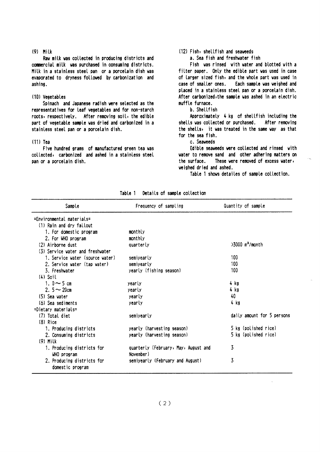#### $(9)$  Milk

Raw milk was collected in producing districts and commercial milk was purchased in consuming districts. Milk in a stainless steel pan or a porcelain dish was evaporated to dryness followed by carbonization and ashing.

#### (10) Vegetables

Spinach and Japanese radish were selected as the representatives for leaf vegetables and for non-starch roots, respectively. After removing soil, the edible part of vegetable sample was dried and carbonized in a stainless steel pan or a porcelain dish.

#### $(11)$  Tea

Five hundred grams of manufactured green tea was collected, carbonized and ashed in a stainless steel pan or a porcelain dish.

#### (12) Fish, shellfish and seaveeds

a. Sea fish and freshwater fish

Fish was rinsed with water and blotted with a filter paper. Only the edible part was used in case of larger sized fish, and the whole part was used in case of smaller ones. Each sample was weighed and placed in a stainless steel pan or a porcelain dish. After carbonized, the sample was ashed in an electric muffle furnace.

#### b. Shellfish

Approximately 4 kg of shellfish including the shells was collected or purchased. After removing the shells, it was treated in the same way as that for the sea fish.

#### c. Seaveeds

Edible seaveeds were collected and rinsed with water to remove sand and other adhering matters on the surface. These were removed of excess water, veighed dried and ashed.

Table 1 shows detailes of sample collection.

| Sample                                         | Frequency of sampling                             | Quantity of sample            |
|------------------------------------------------|---------------------------------------------------|-------------------------------|
| =Environmental materials=                      |                                                   |                               |
| (1) Rain and dry fallout                       |                                                   |                               |
| 1. For domestic program                        | monthly                                           |                               |
| 2. For WHO program                             | monthly                                           |                               |
| (2) Airborne dust                              | quarterly                                         | $>3000$ m <sup>3</sup> /month |
| (3) Service water and freshwater               |                                                   |                               |
| 1. Service water (source water)                | semiyearly                                        | 100                           |
| 2. Service water (tap water)                   | semivearly                                        | 100                           |
| 3. Freshvater                                  | yearly (fishing season)                           | 100                           |
| $(4)$ Soil                                     |                                                   |                               |
| 1. $0 \sim 5$ cm                               | yearly                                            | 4 kg                          |
| 2. $5 - 20$ cm                                 | yearly                                            | 4 kg                          |
| (5) Sea vater                                  | yearly                                            | 40                            |
| (6) Sea sediments                              | yearly                                            | 4 kg                          |
| =Dietary materials=                            |                                                   |                               |
| (7) Total diet                                 | semiyearly                                        | daily amount for 5 persons    |
| $(8)$ Rice                                     |                                                   |                               |
| 1. Producing districts                         | yearly (harvesting season)                        | 5 kg (polished rice)          |
| 2. Consuming districts                         | yearly (harvesting season)                        | 5 kg (polished rice)          |
| $(9)$ Milk                                     |                                                   |                               |
| 1. Producing districts for<br>WHO program      | quarterly (February, May, August and<br>November) | 3                             |
| 2. Producing districts for<br>domestic program | semiyearly (February and August)                  | 3                             |

Table 1 Details of sample collection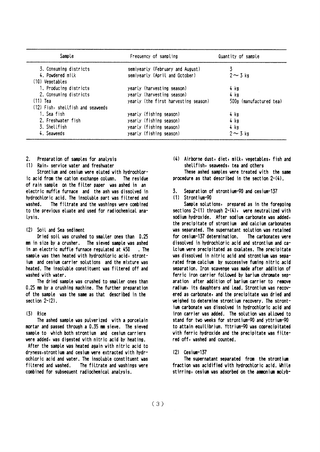| Sample                            | Frequency of sampling                | Quantity of sample      |  |  |
|-----------------------------------|--------------------------------------|-------------------------|--|--|
| 3. Consuming districts            | semiyearly (February and August)     |                         |  |  |
| 4. Powdered milk                  | semiyearly (April and October)       | $2 \sim 3$ kg           |  |  |
| (10) Vegetables                   |                                      |                         |  |  |
| 1. Producing districts            | yearly (harvesting season)           | 4 kg                    |  |  |
| 2. Consuming districts            | yearly (harvesting season)           | 4 kg                    |  |  |
| $(11)$ Tea                        | yearly (the first harvesting season) | 500g (manufactured tea) |  |  |
| (12) Fish, shellfish and seaveeds |                                      |                         |  |  |
| 1. Sea fish                       | yearly (fishing season)              | 4 kg                    |  |  |
| 2. Freshwater fish                | yearly (fishing season)              | 4 kg                    |  |  |
| 3. Shellfish                      | yearly (fishing season)              | 4 kg                    |  |  |
| 4. Seaveeds                       | yearly (fishing season)              | $2 \sim 3$ kg           |  |  |

 $2^{\circ}$ Preparation of samples for analysis

(1) Rain, service water and freshwater

Strontium and cesium were eluted with hydrochloric acid from the cation exchange column. The residue of rain sample on the filter paper was ashed in an electric muffle furnace and the ash was dissolved in hydrochloric acid. The insoluble part was filtered and vashed The filtrate and the washings were combined to the previous eluate and used for radiochemical analysis.

#### (2) Soil and Sea sediment

Dried soil was crushed to smaller ones than 0.25 mm in size by a crusher. The sieved sample was ashed in an electric muffle furnace regulated at 450 . The sample was then heated with hydrochloric acid, strontjum and cesium carrier solutions and the mixture was heated. The insoluble constituent was filtered off and vashed with water.

The dried sample was crushed to smaller ones than 0.25 mm by a crushing machine. The further preparation of the sample was the same as that described in the section  $2-(2)$ .

#### $(3)$  Rice

The ashed sample was pulverized with a porcelain mortar and passed through a 0.35 mm sieve. The sieved sample to which both strontium and cesium carriers were added, was digested with nitric acid by heating.

After the sample was heated again with nitric acid to dryness, strontium and cesium were extracted with hydrochloric acid and water. The insoluble constituent was The filtrate and washings were filtered and washed. combined for subsequent radiochemical analysis.

(4) Airborne dust, diet, milk, vegetables, fish and shellfish, seaweeds, tea and others

These ashed samples were treated with the same procedure as that described in the section  $2-(4)$ .

3. Separation of strontium-90 and cesium-137

#### (1) Strontium-90

Sample solutions, prepared as in the foregoing sections  $2-(1)$  through  $2-(4)$ , were neutralized with sodium hydroxide. After sodium carbonate was added, the precipitate of strontium and calcium carbonates was separated. The supernatant solution was retained for cesium-137 determination. The carbonates vere dissolved in hydrochloric acid and strontium and ca-Icium were precipitated as oxalates. The precipitate was dissolved in nitric acid and strontium was separated from calcium by successive fuming nitric acid separation. Iron scavenge was made after addition of ferric iron carrier followed by barium chromate separation after addition of barium carrier to remove radium, its daughters and lead. Strontium was recovered as carbonate, and the precipitate was dried and weighed to determine strontium recovery. The strontium carbonate was dissolved in hydrochloric acid and iron carrier was added. The solution was allowed to stand for two weeks for strontium-90 and yttrium-90 to attain equilibrium. Yttrium-90 was coprecipitated with ferric hydroxide and the precipitate was filtered off, washed and counted.

#### (2) Cesium-137

The supernatant separated from the strontium fraction was acidified with hydrochloric acid. While stirring, cesium was adsorbed on the ammonium molyb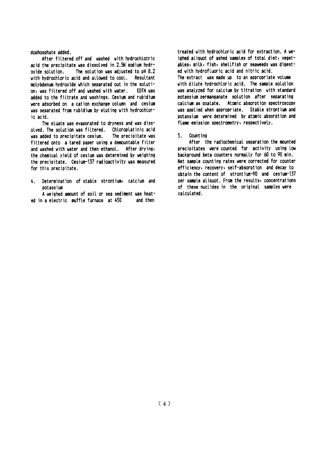dophosphate added.

After filtered off and washed with hydrochlotric acid the precipitate was dissolved in 2.5N sodium hydr-The solution was adjusted to pH 8.2 oxide solution. with hydrochloric acid and allowed to cool. Resultant molybdenum hydroxide which separated out in the solution, was filtered off and washed with water. EDTA vas added to the filtrate and washings. Cesium and rubidium were adsorbed on a cation exchange column and cesium was separated from rubidium by eluting with hydrochloric acid.

The eluate was evaporated to dryness and was dissolved. The solution was filtered. Chloroplatinic acid was added to precipitate cesium. The precipitate was filtered onto a tared paper using a demountable filter and washed with water and then ethanol. After drying, the chemical vield of cesium was determined by weighing the precipitate. Cesium-137 radioactivity was measured for this precipitate.

 $4.$ Determination of stable strontium, calcium and potassium

A weighed amount of soil or sea sediment was heated in a electric muffle furnace at 450 and then

treated with hydrochloric acid for extraction. A weighed aliquot of ashed samples of total diet, vegetables, milk, fish, shellfish or seaweeds was digested with hydrofluoric acid and nitric acid. The extract was made up to an appropriate volume with dilute hydrochloric acid. The sample solution was analyzed for calcium by titration with standard potassium permanganate solution after separating calcium as oxalate. Atomic absorption spectroscopy was applied when appropriate. Stable strontium and potassium were determined by atomic absorption and flame emission spectrometry, respectively.

#### $5.$ Count ing

After the radiochemical separation the mounted precipitates were counted for activity using low background beta counters normally for 60 to 90 min. Net sample counting rates were corrected for counter efficiency, recovery, self-absorption and decay to obtain the content of strontium-90 and cesium-137 per sample aliquot. From the results, concentrations of these nuclides in the original samples were calculated.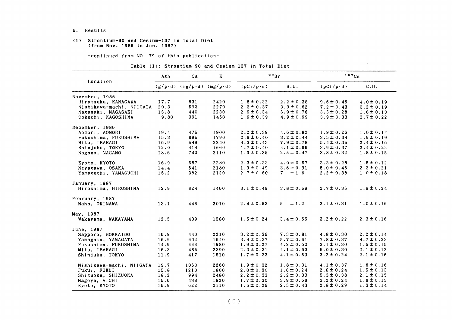#### 6. Results

#### (1) Strontium-90 and Cesium-137 in Total Diet (from Nov.1986 to Jun.1987)

-COntinued from NO.79 0f this publication-

#### Table (1): Strontium-90 and Cesium-137 in Total Diet

|                          | Ash  | Ca                                | K    |                  | $\frac{80}{s}$ |                  | $137C_S$       |  |  |
|--------------------------|------|-----------------------------------|------|------------------|----------------|------------------|----------------|--|--|
| Location                 |      | $(g/p \cdot d)$ (mg/p·d) (mg/p·d) |      | $(pCi/p\cdot d)$ | S.U.           | $(pCi/p\cdot d)$ | C.U.           |  |  |
| November, 1986           |      |                                   |      |                  |                |                  |                |  |  |
| Hiratsuka, KANAGAWA      | 17.7 | 831                               | 2420 | $1.8 \pm 0.32$   | $2.2 \pm 0.38$ | $9.6 \pm 0.46$   | $4.0 \pm 0.19$ |  |  |
| Nishikawa-machi, NIIGATA | 20.3 | 593                               | 2270 | $2.3 \pm 0.37$   | $3.9 \pm 0.62$ | $7.2 \pm 0.43$   | $3.2 \pm 0.19$ |  |  |
| Nagasaki, NAGASAKI       | 15.8 | 440                               | 2230 | $2.6 \pm 0.34$   | $5.9 \pm 0.78$ | $3.5 \pm 0.28$   | $1.6 \pm 0.13$ |  |  |
| Ookuchi, KAGOSHIMA       | 9.80 | 391                               | 1450 | $1.9 \pm 0.39$   | $4.9 \pm 0.99$ | $3.9 \pm 0.33$   | $2.7 \pm 0.22$ |  |  |
| December, 1986           |      |                                   |      |                  |                |                  |                |  |  |
| Aomori, AOMORI           | 19.4 | 475                               | 1900 | $2.2 \pm 0.39$   | $4.6 \pm 0.82$ | $1.9 \pm 0.26$   | $1.0 \pm 0.14$ |  |  |
| Fukushima, FUKUSHIMA     | 15.3 | 895                               | 1790 | $2.9 \pm 0.40$   | $3.2 \pm 0.44$ | $3.5 \pm 0.34$   | $1.9 \pm 0.19$ |  |  |
| Mito, IBARAGI            | 16.9 | 549                               | 2240 | $4.3 \pm 0.43$   | $7.9 \pm 0.78$ | $5.4 \pm 0.35$   | $2.4 \pm 0.16$ |  |  |
| Shinjuku, TOKYO          | 12.0 | 414                               | 1660 | $1.7 \pm 0.40$   | $4.1 \pm 0.96$ | $3.9 \pm 0.37$   | $2.4 \pm 0.22$ |  |  |
| Nagano, NAGANO           | 18.6 | 743                               | 2110 | $1.9 \pm 0.35$   | $2.5 \pm 0.47$ | $3.8 \pm 0.32$   | $1.8 \pm 0.15$ |  |  |
| Kyoto, KYOTO             | 16.9 | 587                               | 2280 | $2.3 \pm 0.33$   | $4.0 \pm 0.57$ | $3.3 \pm 0.28$   | $1.5 \pm 0.12$ |  |  |
| Neyagawa, OSAKA          | 14.4 | 541                               | 2180 | $1.9 \pm 0.49$   | $3.6 \pm 0.91$ | $5.0 \pm 0.45$   | $2.3 \pm 0.21$ |  |  |
| Yamaguchi, YAMAGUCHI     | 15.2 | 382                               | 2120 | $2.7 \pm 0.60$   | $7 + 1.6$      | $2.2 \pm 0.38$   | $1.0 \pm 0.18$ |  |  |
| January, 1987            |      |                                   |      |                  |                |                  |                |  |  |
| Hiroshima, HIROSHIMA     | 12.9 | 824                               | 1460 | $3.1 \pm 0.49$   | $3.8 \pm 0.59$ | $2.7 \pm 0.35$   | $1.9 \pm 0.24$ |  |  |
| February, 1987           |      |                                   |      |                  |                |                  |                |  |  |
| Naha, OKINAWA            | 13.1 | 446                               | 2010 | $2.4 \pm 0.53$   | $5 \pm 1.2$    | $2.1 \pm 0.31$   | $1.0 \pm 0.16$ |  |  |
| May, 1987                |      |                                   |      |                  |                |                  |                |  |  |
| Wakayama, WAKAYAMA       | 12.5 | 439                               | 1380 | $1.5 \pm 0.24$   | $3.4 \pm 0.55$ | $3.2 \pm 0.22$   | $2.3 \pm 0.16$ |  |  |
| June. 1987               |      |                                   |      |                  |                |                  |                |  |  |
| Sapporo, HOKKAIDO        | 16.9 | 440                               | 2210 | $3.2 \pm 0.36$   | $7.3 \pm 0.81$ | $4.8 \pm 0.30$   | $2.2 \pm 0.14$ |  |  |
| Yamagata, YAMAGATA       | 16.9 | 602                               | 1640 | $3.4 \pm 0.37$   | $5.7 \pm 0.61$ | $7.8 \pm 0.37$   | $4.7 \pm 0.23$ |  |  |
| Fukushima, FUKUSHIMA     | 14.9 | 444                               | 1980 | $1.9 \pm 0.27$   | $4.2 \pm 0.60$ | $3.1 \pm 0.30$   | $1.6 \pm 0.15$ |  |  |
| Mito, IBARAGI            | 16.3 | 485                               | 2390 | $2.0 \pm 0.31$   | $4.1 \pm 0.63$ | $5.0 \pm 0.30$   | $2.1 \pm 0.12$ |  |  |
| Shinjuku, TOKYO          | 11.9 | 417                               | 1510 | $1.7 \pm 0.22$   | $4.1 \pm 0.53$ | $3.2 \pm 0.24$   | $2.1 \pm 0.16$ |  |  |
| Nishikawa-machi, NIIGATA | 19.7 | 1050                              | 2260 | $1.9 \pm 0.32$   | $1.8 \pm 0.31$ | $4.1 \pm 0.37$   | $1.8 \pm 0.16$ |  |  |
| Fukui, FUKUI             | 15.8 | 1210                              | 1800 | $2.0 \pm 0.30$   | $1.6 \pm 0.24$ | $2.6 \pm 0.24$   | $1.5 \pm 0.13$ |  |  |
| Shizuoka, SHIZUOKA       | 18.2 | 994                               | 2480 | $2.2 \pm 0.33$   | $2.2 \pm 0.33$ | $5.3 \pm 0.38$   | $2.1 \pm 0.15$ |  |  |
| Nagoya, AICHI            | 15.6 | 438                               | 1820 | $1.7 \pm 0.30$   | $3.9 \pm 0.68$ | $3.2 \pm 0.24$   | $1.8 \pm 0.13$ |  |  |
| Kyoto, KYOTO             | 15.9 | 622                               | 2110 | $1.6 \pm 0.26$   | $2.5 \pm 0.43$ | $2.8 \pm 0.29$   | $1.3 \pm 0.14$ |  |  |

 $\mathcal{L}(\mathcal{A})$  and  $\mathcal{L}(\mathcal{A})$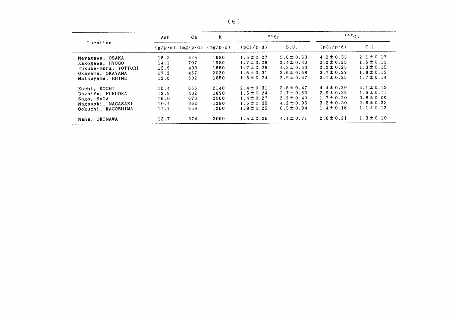| Location             | K<br>Ca<br>Ash  |     |                                   |                  | $^{90}$ Sr     | $137C_S$          |                |  |
|----------------------|-----------------|-----|-----------------------------------|------------------|----------------|-------------------|----------------|--|
|                      | $(g/p \cdot d)$ |     | $(mg/p \cdot d)$ $(mg/p \cdot d)$ | $(pCi/p\cdot d)$ | S.U.           | $(pCi/p \cdot d)$ | C.U.           |  |
| Neyagawa, OSAKA      | 15.3            | 425 | 1980                              | $1.5 \pm 0.27$   | $3.6 \pm 0.63$ | $4.2 \pm 0.33$    | $2.1 \pm 0.17$ |  |
| Kakogawa, HYOGO      | 14.1            | 707 | 1980                              | $1.7 \pm 0.28$   | $2.4 \pm 0.40$ | $3.2 \pm 0.25$    | $1.6 \pm 0.13$ |  |
| Fukube-mura, TOTTORI | 13.9            | 409 | 1650                              | $1.7 \pm 0.26$   | $4.2 \pm 0.63$ | $2.2 \pm 0.25$    | $1.3 \pm 0.15$ |  |
| Okayama, OKAYAMA     | 17.2            | 457 | 2020                              | $1.6 \pm 0.31$   | $3.6 \pm 0.68$ | $3.7 \pm 0.27$    | $1.8 \pm 0.13$ |  |
| Matsuyama, EHIME     | 12.6            | 502 | 1850                              | $1.5 \pm 0.24$   | $2.9 \pm 0.47$ | $3.1 \pm 0.25$    | $1.7 \pm 0.14$ |  |
| Kochi, KOCHI         | 15.4            | 656 | 2140                              | $2.4 \pm 0.31$   | $3.6 \pm 0.47$ | $4.4 \pm 0.29$    | $2.1 \pm 0.13$ |  |
| Dazaifu, FUKUOKA     | 12.9            | 402 | 1890                              | $1.5 \pm 0.24$   | $3.7 \pm 0.60$ | $2.9 \pm 0.22$    | $1.6 \pm 0.11$ |  |
| Saga, SAGA           | 16.0            | 673 | 2060                              | $1.4 \pm 0.27$   | $2.2 \pm 0.40$ | $1.7 \pm 0.20$    | $0.8 \pm 0.09$ |  |
| Nagasaki, NAGASAKI   | 10.4            | 362 | 1280                              | $1.5 \pm 0.35$   | $4.2 \pm 0.96$ | $3.2 \pm 0.30$    | $2.5 \pm 0.23$ |  |
| Ookuchi, KAGOSHIMA   | 11.1            | 269 | 1260                              | $1.8 \pm 0.25$   | $6.5 \pm 0.94$ | $1.4 \pm 0.16$    | $1.1 \pm 0.12$ |  |
| Naha, OKINAWA        | 13.7            | 374 | 2060                              | $1.5 \pm 0.26$   | $4.1 \pm 0.71$ | $2.6 \pm 0.21$    | $1.3 \pm 0.10$ |  |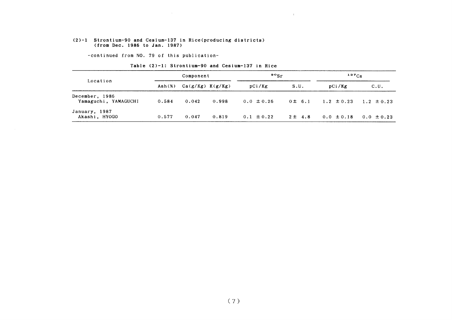#### (2)-1 Strontium-90 and Cesium-137in Rice(producing districts) (from Dee.1986 to Jan.1987)

-COntinued from NO.79 0f this publication-

|                                        |                           | Component            |       | $\mathfrak{so}_{\mathrm{Sr}}$ |             | $137C_S$       |                |
|----------------------------------------|---------------------------|----------------------|-------|-------------------------------|-------------|----------------|----------------|
| Location                               | $\text{Ash}(\mathcal{X})$ | $Ca(g/Kg)$ $K(g/Kg)$ |       | pCi/Kg                        | S.U.        | pCi/Kg         | c.u.           |
| December, 1986<br>Yamaguchi, YAMAGUCHI | 0.584                     | 0.042                | 0.998 | $0.0 \pm 0.26$                | $0 \pm 6.1$ | $1.2 \pm 0.23$ | $1.2 \pm 0.23$ |
| January, 1987<br>Akashi, HYOGO         | 0.577                     | 0.047                | 0.819 | $0.1 \pm 0.22$                | $2 \pm 4.8$ | $0.0 \pm 0.18$ | $0.0 \pm 0.23$ |

 $\mathbf{q}$ 

#### Table (2)-1: Strontium-90 and Cesium-137 in Rice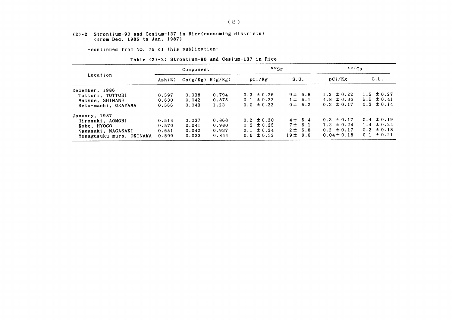#### (2)-2 Strontium-90 and Cesium-137in Rice(COnSuming districts) (from Dec. 1986 to Jan. 1987)

-COntinued from NO.79 0f this publication-

| $\text{Ash}(x)$ |       |       | pCi/Kg                            | S.U.        | pCi/Kg          | C.U.           |
|-----------------|-------|-------|-----------------------------------|-------------|-----------------|----------------|
|                 |       |       |                                   |             |                 |                |
| 0.597           | 0.038 | 0.794 | $0.3 \pm 0.26$                    | 9 ± 6.8     | 1.2 $\pm$ 0.22  | $1.5 \pm 0.27$ |
| 0.630           | 0.042 | 0.875 | $0.1 \pm 0.22$                    | $1 \pm 5.1$ | 4.8 $\pm 0.36$  | $5.5 \pm 0.41$ |
| 0.566           | 0.043 | 1.23  | $0.0 \pm 0.22$                    | $0 \pm 5.2$ | $0.3 \pm 0.17$  | $0.3 \pm 0.14$ |
|                 |       |       |                                   |             |                 |                |
| 0.514           | 0.037 | 0.868 | $0.2 \pm 0.20$                    | $4 \pm 5.4$ | $0.3 \pm 0.17$  | $0.4 \pm 0.19$ |
| 0.570           | 0.041 | 0.980 | $0.3 \pm 0.25$                    | 7 ± 6.1     | $1.3 \pm 0.24$  | $1.4 \pm 0.24$ |
| 0.651           | 0.042 | 0.937 | $0.1 \pm 0.24$                    | 2 ± 5.8     | $0.2 \pm 0.17$  | $0.2 \pm 0.18$ |
| 0.599           | 0.033 | 0.844 | $0.6 \pm 0.32$                    | 19± 9.6     | $0.04 \pm 0.18$ | $0.1 \pm 0.21$ |
|                 |       |       | Component<br>$Ca(g/Kg)$ $K(g/Kg)$ |             | $80$ gr         | $137C_S$       |

#### Table (2)-2: Strontium-90 and Cesium-137 in Rice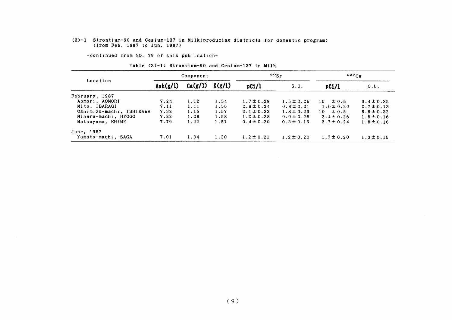#### (3)-1 Strontium-90 &nd Cesium-137in Milk(producing districts for domestic progr (from Feb.1987 to Jun.1987)

-COntinued from NO.79 0f this publication-

|                          | Component         |         |        | $\mathfrak{so}_{\mathrm{Sr}}$ |                | $137C_S$        |                |
|--------------------------|-------------------|---------|--------|-------------------------------|----------------|-----------------|----------------|
| Location                 | $\text{Ash}(g/l)$ | Ca(g/l) | K(g/l) | pCi/l                         | S.U.           | pCi/l           | C.U.           |
| February, 1987           |                   |         |        |                               |                |                 |                |
| Aomori, AOMORI           | 7.24              | 1.12    | 1.54   | $1.7 \pm 0.29$                | $1.5 \pm 0.25$ | $15 \pm 0.5$    | $9.4 \pm 0.35$ |
| Mito, IBARAGI            | 7.11              | 1.11    | 1.56   | $0.9 \pm 0.24$                | $0.8 \pm 0.21$ | $1.0 \pm 0.20$  | $0.7 \pm 0.13$ |
| Oshimizu-machi, ISHIKAWA | 7.32              | 1.16    | 1.57   | $2.1 \pm 0.33$                | $1.8 \pm 0.29$ | $\pm 0.5$<br>10 | $6.6 \pm 0.32$ |
| Mihara-machi, HYOGO      | 7.22              | 1.08    | 1.58   | $1.0 \pm 0.28$                | $0.9 \pm 0.26$ | $2.4 \pm 0.26$  | $1.5 \pm 0.16$ |
| Matsuyama, EHIME         | 7.79              | 1.22    | 1.51   | $0.4 \pm 0.20$                | $0.3 \pm 0.16$ | $2.7 \pm 0.24$  | $1.8 \pm 0.16$ |
| June, 1987               |                   |         |        |                               |                |                 |                |
| Yamato-machi, SAGA       | 7.01              | 1.04    | 1.30   | $1.2 \pm 0.21$                | $1.2 \pm 0.20$ | $1.7 \pm 0.20$  | $1.3 \pm 0.15$ |

Table (3)-1: Strontium-90 and Cesium-137 in Milk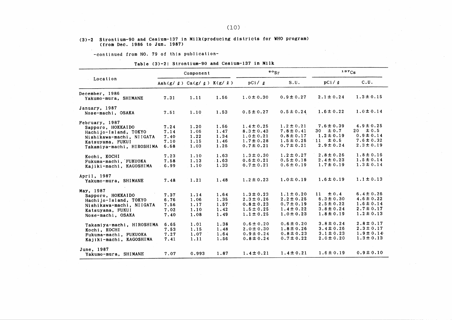#### (3)-2 Strontium-90 and Cesium-137 in Milk(producing districts for WHO program) (from Dec. 1986 to Jun. 1987)

-continued from NO. 79 of this publication-

#### Table (3)-2: Strontium-90 and Cesium-137 in Milk

|                                                                                                                                                                                                                               |                                                                      | Component                                                            |                                                                      |                                                                                                                                                                | $\frac{80}{5}$                                                                                                                                                 |                                                                                                                                                                 | 137Cs                                                                                                                                                          |
|-------------------------------------------------------------------------------------------------------------------------------------------------------------------------------------------------------------------------------|----------------------------------------------------------------------|----------------------------------------------------------------------|----------------------------------------------------------------------|----------------------------------------------------------------------------------------------------------------------------------------------------------------|----------------------------------------------------------------------------------------------------------------------------------------------------------------|-----------------------------------------------------------------------------------------------------------------------------------------------------------------|----------------------------------------------------------------------------------------------------------------------------------------------------------------|
| Location                                                                                                                                                                                                                      |                                                                      | Ash $(g/g)$ Ca $(g/g)$ K $(g/g)$                                     |                                                                      | pCi / q                                                                                                                                                        | S.U.                                                                                                                                                           | pCi / q                                                                                                                                                         | C.U.                                                                                                                                                           |
| December, 1986<br>Yakumo-mura, SHIMANE                                                                                                                                                                                        | 7.31                                                                 | 1.11                                                                 | 1.56                                                                 | $1.0 \pm 0.30$                                                                                                                                                 | $0.9 \pm 0.27$                                                                                                                                                 | $2.1 \pm 0.24$                                                                                                                                                  | $1.3 \pm 0.15$                                                                                                                                                 |
| January, 1987<br>Nose-machi, OSAKA                                                                                                                                                                                            | 7.51                                                                 | 1.10                                                                 | 1.53                                                                 | $0.5 \pm 0.27$                                                                                                                                                 | $0.5 \pm 0.24$                                                                                                                                                 | $1.6 \pm 0.22$                                                                                                                                                  | $1.0 \pm 0.14$                                                                                                                                                 |
| February, 1987<br>Sapporo, HOKKAIDO<br>Hachijo-Island, TOKYO<br>Nishikawa-machi, NIIGATA<br>Katsuyama, FUKUI<br>Takamiya-machi, HIROSHIMA                                                                                     | 7.24<br>7.14<br>7.40<br>7.10<br>6.68                                 | 1.20<br>1.06<br>1.22<br>1.15<br>1.03                                 | 1.56<br>1.47<br>1.34<br>1.46<br>1.25                                 | $1.4 \pm 0.25$<br>$8.3 \pm 0.43$<br>$1.0 \pm 0.21$<br>$1.7 \pm 0.28$<br>$0.7 \pm 0.21$                                                                         | $1.2 \pm 0.21$<br>$7.8 \pm 0.41$<br>$0.8 \pm 0.17$<br>$1.5 \pm 0.25$<br>$0.7 \pm 0.21$                                                                         | $7.6 \pm 0.39$<br>30 <sub>o</sub><br>$\pm 0.7$<br>$1.2 \pm 0.19$<br>$\pm 0.5$<br>$-11$<br>$2.9 \pm 0.24$                                                        | $4.9 \pm 0.25$<br>$20 \pm 0.5$<br>$0.9 \pm 0.14$<br>$7.6 \pm 0.32$<br>$2.3 \pm 0.19$                                                                           |
| Kochi, KOCHI<br>Fukuma-machi, FUKUOKA<br>Kajiki-machi, KAGOSHIMA                                                                                                                                                              | 7.23<br>7.58<br>6.99                                                 | 1.10<br>1.13<br>1.10                                                 | 1.63<br>$-1.63$<br>1.33                                              | $1.3 \pm 0.30$<br>$0.6 \pm 0.21$<br>$0.7 \pm 0.21$                                                                                                             | $1.2 \pm 0.27$<br>$0.5 \pm 0.18$<br>$0.6 \pm 0.19$                                                                                                             | $2.8 \pm 0.26$<br>$2.4 \pm 0.23$<br>$1.7 \pm 0.19$                                                                                                              | $1.8 \pm 0.16$<br>$1.5 \pm 0.14$<br>$1.3 \pm 0.14$                                                                                                             |
| April, 1987<br>Yakumo-mura, SHIMANE                                                                                                                                                                                           | 7.48                                                                 | 1.21                                                                 | 1.48                                                                 | $1.2 \pm 0.23$                                                                                                                                                 | $1.0 \pm 0.19$                                                                                                                                                 | $1.6 \pm 0.19$                                                                                                                                                  | $1.1 \pm 0.13$                                                                                                                                                 |
| May, 1987<br>Sapporo, HOKKAIDO<br>Hachijo-Island, TOKYO<br>Nishikawa-machi, NIIGATA<br>Katsuyama, FUKUI<br>Nose-machi, OSAKA<br>Takamiya-machi, HIROSHIMA<br>Kochi, KOCHI<br>Fukuma-machi, FUKUOKA<br>Kajiki-machi, KAGOSHIMA | 7.37<br>6.76<br>7.56<br>7.02<br>7.40<br>6.65<br>7.53<br>7.27<br>7.41 | 1.14<br>1.06<br>1.17<br>1.10<br>1.08<br>1.01<br>1.15<br>1.07<br>1.11 | 1.64<br>1.35<br>1.57<br>1.42<br>1.49<br>1.38<br>1.48<br>1.64<br>1.56 | $1.3 \pm 0.23$<br>$2.3 \pm 0.26$<br>$0.8 \pm 0.23$<br>$1.5 \pm 0.25$<br>$1.1 \pm 0.25$<br>$0.6 \pm 0.20$<br>$2.0 \pm 0.30$<br>$0.9 \pm 0.24$<br>$0.8 \pm 0.24$ | $1.1 \pm 0.20$<br>$2.2 \pm 0.25$<br>$0.7 \pm 0.19$<br>$1.4 \pm 0.22$<br>$1.0 \pm 0.23$<br>$0.6 \pm 0.20$<br>$1.8 \pm 0.26$<br>$0.8 \pm 0.23$<br>$0.7 \pm 0.22$ | $\pm 0.4$<br>11<br>$6.3 \pm 0.30$<br>$2.5 \pm 0.22$<br>$3.8 \pm 0.24$<br>$1.8 \pm 0.19$<br>$3.8 \pm 0.24$<br>$3.4 \pm 0.26$<br>$3.1 \pm 0.23$<br>$2.0 \pm 0.20$ | $6.4 \pm 0.26$<br>$4.6 \pm 0.22$<br>$1.6 \pm 0.14$<br>$2.7 \pm 0.17$<br>$1.2 \pm 0.13$<br>$2.8 \pm 0.17$<br>$2.3 \pm 0.17$<br>$1.9 \pm 0.14$<br>$1.3 \pm 0.13$ |
| June, 1987<br>Yakumo-mura, SHIMANE                                                                                                                                                                                            | 7.07                                                                 | 0.993                                                                | 1.87                                                                 | $1.4 \pm 0.21$                                                                                                                                                 | $1.4 \pm 0.21$                                                                                                                                                 | $1.6 \pm 0.19$                                                                                                                                                  | $0.9 \pm 0.10$                                                                                                                                                 |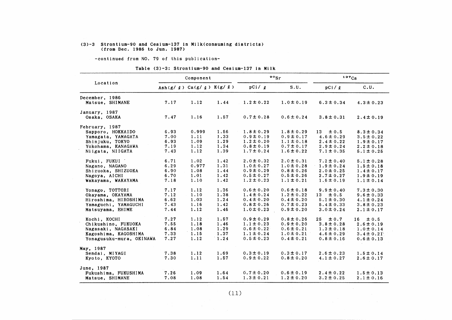### (3)-3 Strontium-90 and Cesium-137 in Milk(consuming districts)<br>(from Dec. 1986 to Jun. 1987)

-continued from NO. 79 of this publication-

Table (3)-3: Strontium-90 and Cesium-137 in Milk

|                          |                                        | Component |      |                | $\circ \circ_{\text{Sr}}$ | 137Cs           |                |
|--------------------------|----------------------------------------|-----------|------|----------------|---------------------------|-----------------|----------------|
| Location                 | Ash $(g / g)$ Ca $(g / g)$ K $(g / g)$ |           |      | pCi / q        | S.U.                      | pCi / q         | C.U.           |
| December, 1986           |                                        |           |      |                |                           |                 |                |
| Matsue, SHIMANE          | 7.17                                   | 1.12      | 1.44 | $1.2 \pm 0.22$ | $1.0 \pm 0.19$            | $6.3 \pm 0.34$  | $4.3 \pm 0.23$ |
| January, 1987            |                                        |           |      |                |                           |                 |                |
| Osaka, OSAKA             | 7.47                                   | 1.16      | 1.57 | $0.7 \pm 0.28$ | $0.6 \pm 0.24$            | $3.8 \pm 0.31$  | $2.4 \pm 0.19$ |
| February, 1987           |                                        |           |      |                |                           |                 |                |
| Sapporo, HOKKAIDO        | 6.93                                   | 0.999     | 1.56 | $1.8 \pm 0.29$ | $1.8 \pm 0.29$            | $\pm 0.5$<br>13 | $8.3 \pm 0.34$ |
| Yamagata, YAMAGATA       | 7.00                                   | 1.11      | 1.33 | $0.9 \pm 0.19$ | $0.9 \pm 0.17$            | $4.6 \pm 0.29$  | $3.5 \pm 0.22$ |
| Shinjuku, TOKYO          | 6.93                                   | 1.09      | 1.29 | $1.2 \pm 0.20$ | $1.1 \pm 0.18$            | $2.4 \pm 0.22$  | $1.9 \pm 0.17$ |
| Yokohama, KANAGAWA       | 7.19                                   | 1.12      | 1.34 | $0.8 \pm 0.19$ | $0.7 \pm 0.17$            | $2.9 \pm 0.24$  | $2.2 \pm 0.18$ |
| Niigata, NIIGATA         | 7.43                                   | 1,12      | 1.39 | $1.7 \pm 0.24$ | $1.6 \pm 0.22$            | $7.1 \pm 0.35$  | $5.1 \pm 0.25$ |
| Fukui, FUKUI             | 6.71                                   | 1.02      | 1.42 | $2.0 \pm 0.32$ | $2.0 \pm 0.31$            | $7.2 \pm 0.40$  | $5.1 \pm 0.28$ |
| Nagano, NAGANO           | 6.29                                   | 0.977     | 1.31 | $1.0 \pm 0.27$ | $1.0 \pm 0.28$            | $1.9 \pm 0.24$  | $1.5 \pm 0.18$ |
| Shizuoka, SHIZUOKA       | 6.90                                   | 1.08      | 1.44 | $0.9 \pm 0.29$ | $0.8 \pm 0.26$            | $2.0 \pm 0.25$  | $1.4 \pm 0.17$ |
| Nagoya, AICHI            | 6.70                                   | 1.01      | 1.42 | $0.5 \pm 0.27$ | $0.5 \pm 0.26$            | $2.7 \pm 0.27$  | $1.9 \pm 0.19$ |
| Wakayama, WAKAYAMA       | 7.18                                   | 1.10      | 1.42 | $1.2 \pm 0.23$ | $1.1 \pm 0.21$            | $1.6 \pm 0.19$  | $1.1 \pm 0.14$ |
| Yonago, TOTTORI          | 7.17                                   | 1.12      | 1.36 | $0.6 \pm 0.20$ | $0.6 \pm 0.18$            | $9.9 \pm 0.40$  | $7.3 \pm 0.30$ |
| Okayama, OKAYAMA         | 7.12                                   | 1.10      | 1.38 | $1.4 \pm 0.24$ | $1.2 \pm 0.22$            | ± 0.5<br>13     | $9.6 \pm 0.33$ |
| Hiroshima, HIROSHIMA     | 6.62                                   | 1.03      | 1.24 | $0.4 \pm 0.20$ | $0.4 \pm 0.20$            | $5.1 \pm 0.30$  | $4.1 \pm 0.24$ |
| Yamaguchi, YAMAGUCHI     | 7.43                                   | 1.16      | 1.42 | $0.8 \pm 0.26$ | $0.7 \pm 0.23$            | $5.4 \pm 0.33$  | $3.8 \pm 0.23$ |
| Matsuyama, EHIME         | 7.44                                   | 1.12      | 1.46 | $1.0 \pm 0.23$ | $0.9 \pm 0.20$            | $3.0 \pm 0.24$  | $2.1 \pm 0.17$ |
| Kochi, KOCHI             | 7.27                                   | 1.12      | 1.57 | $0.9 \pm 0.29$ | $0.8 \pm 0.26$            | $\pm 0.7$<br>25 | ± 0.5<br>16    |
| Chikushino, FUKUOKA      | 7.55                                   | 1.18      | 1.46 | $1.1 \pm 0.23$ | $0.9 \pm 0.20$            | $3.8 \pm 0.28$  | $2.6 \pm 0.19$ |
| Nagasaki, NAGASAKI       | 6.84                                   | 1.08      | 1.29 | $0.6 \pm 0.22$ | $0.6 \pm 0.21$            | $1.3 \pm 0.18$  | $1.0 \pm 0.14$ |
| Kagoshima, KAGOSHIMA     | 7.33                                   | 1.15      | 1.37 | $1.1 \pm 0.24$ | $1.0 \pm 0.21$            | $4.6 \pm 0.29$  | $3.4 \pm 0.21$ |
| Yonagusuku-mura, OKINAWA | 7.27                                   | 1.12      | 1.24 | $0.5 \pm 0.23$ | $0.4 \pm 0.21$            | $0.8 \pm 0.16$  | $0.6 \pm 0.13$ |
| May, 1987                |                                        |           |      |                |                           |                 |                |
| Sendai, MIYAGI           | 7.38                                   | 1.12      | 1.69 | $0.3 \pm 0.19$ | $0.3 \pm 0.17$            | $2.6 \pm 0.23$  | $1.5 \pm 0.14$ |
| Kyoto, KYOTO             | 7.30                                   | 1.11      | 1.57 | $0.9 \pm 0.22$ | $0.8 \pm 0.20$            | $4.1 \pm 0.27$  | $2.6 \pm 0.17$ |
| June, 1987               |                                        |           |      |                |                           |                 |                |
| Fukushima, FUKUSHIMA     | 7.26                                   | 1.09      | 1.64 | $0.7 \pm 0.20$ | $0.6 \pm 0.19$            | $2.4 \pm 0.22$  | $1.5 \pm 0.13$ |
| Matsue, SHIMANE          | 7.08                                   | 1.08      | 1.54 | $1.3 \pm 0.21$ | $1.2 \pm 0.20$            | $3.2 \pm 0.25$  | $2.1 \pm 0.16$ |

 $(11)$ 

 $\sim 10^6$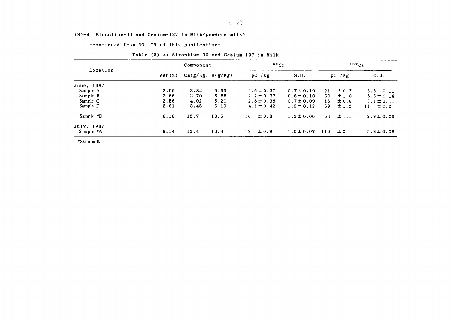#### (3)-4 Strontium-90 and Cesium-137in Milk(povderd milk)

-COntinued from NO.79 0f this publication-

|            | Component       |                      |      | $\mathfrak{so}_{\mathrm{Sr}}$ |                |     | $137C_S$  |                 |  |
|------------|-----------------|----------------------|------|-------------------------------|----------------|-----|-----------|-----------------|--|
| Location   | $\text{Ash}(x)$ | $Ca(g/Kg)$ $K(g/Kg)$ |      | pCi/Kg                        | S.U.           |     | pCi/Kg    | C.U.            |  |
| June, 1987 |                 |                      |      |                               |                |     |           |                 |  |
| Sample A   | 2.56            | 3.84                 | 5.96 | $2.6 \pm 0.37$                | $0.7 \pm 0.10$ | 21  | $\pm 0.7$ | $3.6 \pm 0.11$  |  |
| Sample B   | 2.66            | 3.70                 | 5.88 | $2.2 \pm 0.37$                | $0.6 \pm 0.10$ | 50  | $\pm 1.0$ | $8.5 \pm 0.18$  |  |
| Sample C   | 2.56            | 4.02                 | 5.20 | $2.8 \pm 0.38$                | $0.7 \pm 0.09$ | 16. | $\pm 0.6$ | $3.1 \pm 0.11$  |  |
| Sample D   | 2.61            | 3.45                 | 6.19 | $4.1 \pm 0.42$                | $1.2 \pm 0.12$ | 69  | $\pm$ 1.2 | $\pm 0.2$<br>11 |  |
| Sample *D  | 8.18            | 12.7                 | 18.5 | $\pm 0.8$<br>16               | $1.2 \pm 0.06$ | 54  | $\pm 1.1$ | $2.9 \pm 0.06$  |  |
| July, 1987 |                 |                      |      |                               |                |     |           |                 |  |
| Sample *A  | 8.14            | 12.4                 | 18.4 | $\pm 0.9$<br>19               | $1.6 \pm 0.07$ | 110 | $\pm 2$   | $5.8 \pm 0.08$  |  |

#### Table (3)-4: Strontium-90 and Cesium-137 in Milk

\*Skimmilk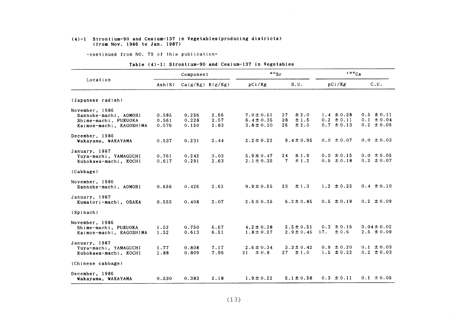#### (4)-1 Strontiun-90 and Cesium-137in Vegetables(producing districts) (from Nov.1986 to Jan.1987)

-COntinued from NO.79 0f this publication-

|  |  | Table (4)-1: Strontium-90 and Cesium-137 in Vegetables |  |
|--|--|--------------------------------------------------------|--|
|--|--|--------------------------------------------------------|--|

|                         | Component |                      | $\circ s_r$ |                 | $137C_S$         |                |                 |
|-------------------------|-----------|----------------------|-------------|-----------------|------------------|----------------|-----------------|
| Location                | Ash(%)    | $Ca(g/Kg)$ $K(g/Kg)$ |             | pCi/Kg          | S.U.             | pCi/Kg         | C.U.            |
| (Japanese radish)       |           |                      |             |                 |                  |                |                 |
| November, 1986          |           |                      |             |                 |                  |                |                 |
| Sannohe-machi, AOMORI   | 0.585     | 0.256                | 2.56        | $7.0 \pm 0.51$  | ± 2.0<br>27      | $1.4 \pm 0.28$ | $0.5 \pm 0.11$  |
| Shime-machi, FUKUOKA    | 0.561     | 0.228                | 2.57        | $6.4 \pm 0.35$  | ±1.5<br>28       | $0.2 \pm 0.11$ | $0.1 \pm 0.04$  |
| Kaimon-machi, KAGOSHIMA | 0.576     | 0.150                | 2.83        | $3.8 \pm 0.30$  | $\pm 2.0$<br>26. | $0.7 \pm 0.13$ | $0.2 \pm 0.05$  |
| December, 1986          |           |                      |             |                 |                  |                |                 |
| Wakayama, WAKAYAMA      | 0.537     | 0.231                | 2.44        | $2.2 \pm 0.22$  | $9.4 \pm 0.95$   | $0.0 \pm 0.07$ | $0.0 \pm 0.03$  |
| January, 1987           |           |                      |             |                 |                  |                |                 |
| Yuya-machi, YAMAGUCHI   | 0.761     | 0.242                | 3.03        | $5.9 \pm 0.47$  | ±1.9<br>24       | $0.0 \pm 0.15$ | $0.0 \pm 0.05$  |
| Kubokawa-machi, KOCHI   | 0.617     | 0.291                | 2.63        | $2.1 \pm 0.35$  | ±1.2<br>7.       | $0.5 \pm 0.18$ | $0.2 \pm 0.07$  |
| (Cabbage)               |           |                      |             |                 |                  |                |                 |
| November, 1986          |           |                      |             |                 |                  |                |                 |
| Sannohe-machi, AOMORI   | 0.656     | 0.426                | 2.62        | $9.9 \pm 0.55$  | 23<br>$\pm$ 1.3  | $1.2 \pm 0.25$ | $0.4 \pm 0.10$  |
| January, 1987           |           |                      |             |                 |                  |                |                 |
| Kumatori-machi, OSAKA   | 0.555     | 0.408                | 2.07        | $2.5 \pm 0.35$  | $6.2 \pm 0.85$   | $0.5 \pm 0.19$ | $0.2 \pm 0.09$  |
| (Spinach)               |           |                      |             |                 |                  |                |                 |
| November, 1986          |           |                      |             |                 |                  |                |                 |
| Shime-machi, FUKUOKA    | 1.52      | 0.750                | 6.67        | $4.2 \pm 0.38$  | $5.5 \pm 0.51$   | $0.3 \pm 0.15$ | $0.04 \pm 0.02$ |
| Kaimon-machi, KAGOSHIMA | 1.52      | 0.613                | 6.51        | $1.8 \pm 0.27$  | $2.9 \pm 0.45$   | 17.<br>± 0.6   | $2.5 \pm 0.09$  |
| January, 1987           |           |                      |             |                 |                  |                |                 |
| Yuya-machi, YAMAGUCHI   | 1.77      | 0.808                | 7.17        | $2.6 \pm 0.34$  | $3.3 \pm 0.42$   | $0.9 \pm 0.20$ | $0.1 \pm 0.03$  |
| Kubokawa-machi, KOCHI   | 1.88      | 0.809                | 7.96        | $\pm 0.8$<br>21 | $\pm 1.0$<br>27  | $1.5 \pm 0.22$ | $0.2 \pm 0.03$  |
| (Chinese cabbage)       |           |                      |             |                 |                  |                |                 |
| December, 1986          |           |                      |             |                 |                  |                |                 |
| Wakayama, WAKAYAMA      | 0.530     | 0.383                | 2.18        | $1.9 \pm 0.22$  | $5.1 \pm 0.58$   | $0.3 \pm 0.11$ | $0.1 \pm 0.05$  |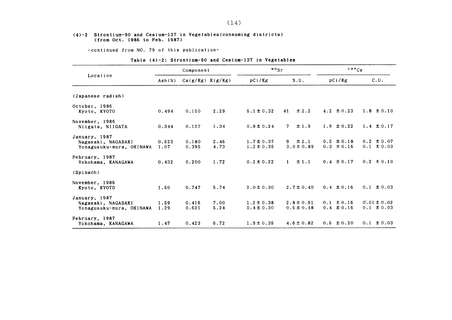#### (4)-2 Strontium-90 and Cesium-137 in Vegetables(consuming districts) (from Oet.1986 to Feb.1987)

-COntinued from NO.79 0f this publication-

|  |  | Table (4)-2: Strontium-90 and Cesium-137 in Vegetables |  |  |  |  |
|--|--|--------------------------------------------------------|--|--|--|--|
|--|--|--------------------------------------------------------|--|--|--|--|

|                                                                 | Component     |                      | $\frac{90}{s}$ r |                                  | 137Cs                            |                                  |                                   |
|-----------------------------------------------------------------|---------------|----------------------|------------------|----------------------------------|----------------------------------|----------------------------------|-----------------------------------|
| Location                                                        | Ash(%)        | $Ca(g/Kg)$ $K(g/Kg)$ |                  | pCi/Kg                           | S.U.                             | pCi/Kg                           | C.U.                              |
| (Japanese radish)                                               |               |                      |                  |                                  |                                  |                                  |                                   |
| October, 1986<br>Kyoto, KYOTO                                   | 0.494         | 0.150                | 2.29             | $6.1 \pm 0.32$                   | $\pm 2.2$<br>41                  | 4.2 $\pm 0.23$                   | $1.8 \pm 0.10$                    |
| November, 1986<br>Niigata, NIIGATA                              | 0.344         | 0.127                | 1.34             | $0.9 \pm 0.24$                   | ±1.9<br>7                        | $1.9 \pm 0.22$                   | 1.4 $\pm$ 0.17                    |
| January, 1987<br>Nagasaki, NAGASAKI<br>Yonagusuku-mura, OKINAWA | 0.523<br>1.07 | 0.180<br>0.395       | 2.46<br>4.73     | $1.7 \pm 0.37$<br>$1.2 \pm 0.35$ | $9 \pm 2.1$<br>$3.0 \pm 0.89$    | $0.5 \pm 0.18$<br>$0.3 \pm 0.16$ | $0.2 \pm 0.07$<br>$0.1 \pm 0.03$  |
| February, 1987<br>Yokohama, KANAGAWA                            | 0.432         | 0.200                | 1.72             | $0.2 \pm 0.22$                   | ±1.1<br>$\mathbf{1}$             | $0.4 \pm 0.17$                   | $0.2 \pm 0.10$                    |
| (Spinach)                                                       |               |                      |                  |                                  |                                  |                                  |                                   |
| November, 1986<br>Kyoto, KYOTO                                  | 1.50          | 0.747                | 5.74             | $2.0 \pm 0.30$                   | $2.7 \pm 0.40$                   | $0.4 \pm 0.16$                   | $0.1 \pm 0.03$                    |
| January, 1987<br>Nagasaki, NAGASAKI<br>Yonagusuku-mura, OKINAWA | 1.59<br>1.29  | 0.416<br>0.621       | 7.00<br>5.24     | $1.2 \pm 0.38$<br>$0.4 \pm 0.30$ | $2.8 \pm 0.91$<br>$0.6 \pm 0.48$ | $0.1 \pm 0.16$<br>$0.4 \pm 0.16$ | $0.01 \pm 0.02$<br>$0.1 \pm 0.03$ |
| February, 1987<br>Yokohama, KANAGAWA                            | 1.47          | 0.423                | 6.72             | $1.9 \pm 0.35$                   | $4.6 \pm 0.82$                   | $0.5 \pm 0.20$                   | $0.1 \pm 0.03$                    |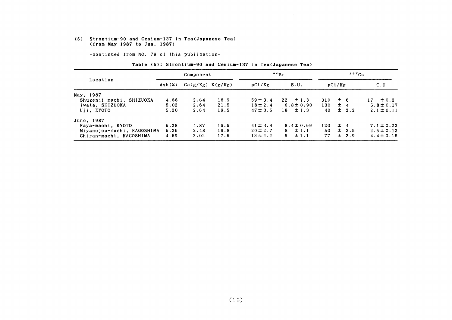#### (5) Strontium-90 and Cesium-137in Tea(Japanese Tea) (fro血 相ay1987 to JⅦn.1987)

-COntinued from NO.79 0f this publication-

#### Table (5): Strontium-90 and Cesium-137 in Tea(Japanese Tea)

|                            | Component                  |                      |      | $\frac{90}{5}$ r | $137C_S$       |     |             |                 |
|----------------------------|----------------------------|----------------------|------|------------------|----------------|-----|-------------|-----------------|
| Location                   | $\mathsf{Ash}(\mathsf{x})$ | $Ca(g/Kg)$ $K(g/Kg)$ |      | pCi/Kg           | S.U.           |     | pCi/Kg      | C.U.            |
| May, 1987                  |                            |                      |      |                  |                |     |             |                 |
| Shuzenji-machi, SHIZUOKA   | 4.88                       | 2.64                 | 18.9 | $59 \pm 3.4$     | $22 \pm 1.3$   |     | $310 \pm 6$ | $\pm 0.3$<br>17 |
| Iwata, SHIZUOKA            | 5.02                       | 2.64                 | 21.5 | $18 \pm 2.4$     | $6.8 \pm 0.90$ | 130 | $\pm$ 4     | $5.8 \pm 0.17$  |
| Uji, KYOTO                 | 5.20                       | 2.64                 | 19.5 | $47 \pm 3.5$     | $18 \pm 1.3$   | 40  | $\pm$ 2.2   | $2.1 \pm 0.11$  |
| June, 1987                 |                            |                      |      |                  |                |     |             |                 |
| Kaya-machi, KYOTO          | 5.28                       | 4.87                 | 16.6 | $41 \pm 3.4$     | $8.4 \pm 0.69$ |     | $120 \pm 4$ | $7.1 \pm 0.22$  |
| Miyanojou-machi, KAGOSHIMA | 5.26                       | 2.48                 | 19.8 | $20 \pm 2.7$     | $8 \pm 1.1$    | 50. | $\pm$ 2.5   | $2.5 \pm 0.12$  |
| Chiran-machi, KAGOSHIMA    | 4.59                       | 2.02                 | 17.5 | $13 \pm 2.2$     | ±1.1<br>6.     | 77  | $\pm$ 2.9   | $4.4 \pm 0.16$  |

 $\pm$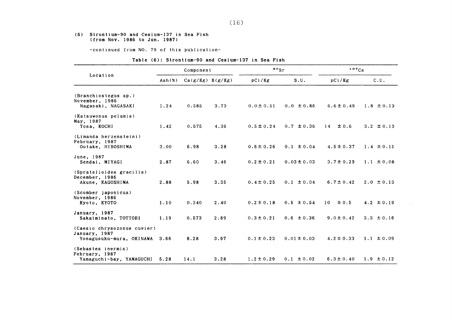#### (6) Strontium-90 and Cesium-137in Sea Fish (from Nov.1986 to Jun.1987)

-COntinued from NO.79 0f this publication-

#### Table (6): Strontium-90 and Cesium-137 in Sea Fish

|                                              | Component |                      |      | $\frac{90}{ST}$ |                 | $137C_S$       |                |
|----------------------------------------------|-----------|----------------------|------|-----------------|-----------------|----------------|----------------|
| Location                                     | Ash(X)    | $Ca(g/Kg)$ $K(g/Kg)$ |      | pCi/Kg          | S.U.            | pCi/Kg         | C.U.           |
| (Branchiostegus sp.)                         |           |                      |      |                 |                 |                |                |
| November, 1986<br>Nagasaki, NAGASAKI         | 1.24      | 0.585                | 3.73 | $0.0 \pm 0.51$  | $0.0 \pm 0.86$  | $6.6 \pm 0.49$ | $1.8 \pm 0.13$ |
| (Katsuwonus pelamis)<br>May, 1987            |           |                      |      |                 |                 |                |                |
| Tosa, KOCHI                                  | 1.42      | 0.675                | 4.36 | $0.5 \pm 0.24$  | $0.7 \pm 0.36$  | ± 0.6<br>14    | 3.2 $\pm$ 0.13 |
| (Limanda herzensteini)<br>February, 1987     |           |                      |      |                 |                 |                |                |
| Ootake, HIROSHIMA                            | 3.00      | 6.98                 | 3.28 | $0.6 \pm 0.26$  | $0.1 \pm 0.04$  | $4.5 \pm 0.37$ | $1.4 \pm 0.11$ |
| June, 1987<br>Sendai, MIYAGI                 | 2.87      | 6.60                 | 3.46 | $0.2 \pm 0.21$  | $0.03 \pm 0.03$ | $3.7 \pm 0.29$ | $1.1 \pm 0.08$ |
| (Spratelloides gracilis)<br>December, 1986   |           |                      |      |                 |                 |                |                |
| Akune, KAGOSHIMA                             | 2.88      | 5.98                 | 3.35 | $0.4 \pm 0.25$  | $0.1 \pm 0.04$  | $6.7 \pm 0.42$ | $2.0 \pm 0.13$ |
| (Scomber japonicus)<br>November, 1986        |           |                      |      |                 |                 |                |                |
| Kyoto, KYOTO                                 | 1.10      | 0.340                | 2.40 | $0.2 \pm 0.18$  | $0.5 \pm 0.54$  | ±0.5<br>10     | 4.2 $\pm$ 0.19 |
| January, 1987                                |           |                      |      |                 |                 |                |                |
| Sakaiminato, TOTTORI                         | 1.19      | 0.573                | 2.69 | $0.3 \pm 0.21$  | $0.6 \pm 0.36$  | $9.0 \pm 0.42$ | 3.3 $\pm$ 0.16 |
| (Caesio chrysozonus cuvier)<br>January, 1987 |           |                      |      |                 |                 |                |                |
| Yonagusuku-mura, OKINAWA                     | 3.66      | 8.28                 | 3.67 | $0.1 \pm 0.23$  | $0.01 \pm 0.03$ | $4.2 \pm 0.33$ | $1.1 \pm 0.09$ |
| (Sebastes inermis)<br>February, 1987         |           |                      |      |                 |                 |                |                |
| Yamaguchi-bay, YAMAGUCHI                     | 5.28      | 14.1                 | 3.28 | $1.2 \pm 0.29$  | $0.1 \pm 0.02$  | $6.3 \pm 0.40$ | $1.9 \pm 0.12$ |

 $\mathcal{A}$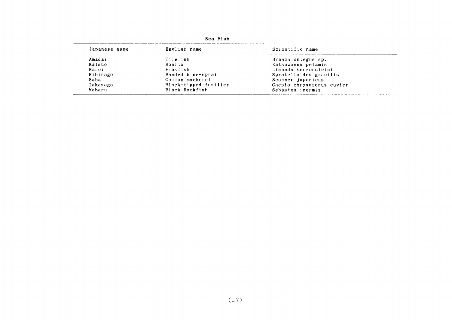| Japanese name | English name          | Scientific name           |
|---------------|-----------------------|---------------------------|
| Amadai        | Tilefish              | Branchiostegus sp.        |
| Katsuo        | Bonito.               | Katsuwonus pelamis        |
| Karei         | Flatfish              | Limanda herzensteini      |
| Kibinago      | Banded blue-sprat     | Spratelloides gracilis    |
| Saba          | Common mackerel       | Scomber japonicus         |
| Takasago      | Black-tipped fusilier | Caesio chrysozonus cuvier |
| Mebaru        | Black Rockfish        | Sebastes inermis          |

Sea Fish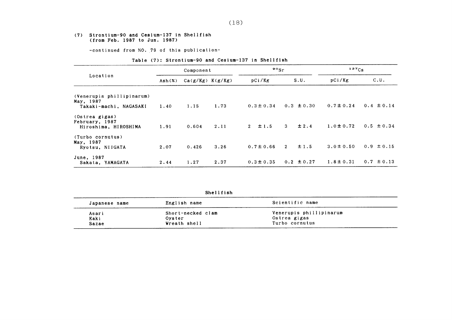#### (7) Strontium-90 and Cesium-137in Shellfish (from Feb.1987 to Jun.1987)

-continued from NO. 79 of this publication-

#### Table (7): Strontium-90 and Cesium-137 in Shellfish

|                                                          | Component                |                      |      | $\mathbf{P}^{\circ}$ Sr |                           | $137C_S$       |                |
|----------------------------------------------------------|--------------------------|----------------------|------|-------------------------|---------------------------|----------------|----------------|
| Location                                                 | $\text{Ash}(\mathbf{x})$ | $Ca(g/Kg)$ $K(g/Kg)$ |      | pCi/Kg                  | S.U.                      | pCi/Kg         | C.U.           |
| (Venerupis phillipinarum)<br>May, 1987                   |                          |                      |      |                         |                           |                |                |
| Takaki-machi, NAGASAKI                                   | 1.40                     | 1.15                 | 1.73 | $0.3 \pm 0.34$          | $0.3 \pm 0.30$            | $0.7 \pm 0.24$ | $0.4 \pm 0.14$ |
| (Ostrea gigas)<br>February, 1987<br>Hiroshima, HIROSHIMA | 1.91                     | 0.604                | 2.11 | $2 + 1.5$               | $\mathbf{3}$<br>$\pm 2.4$ | $1.0 \pm 0.72$ | $0.5 \pm 0.34$ |
| (Turbo cornutus)<br>May, 1987<br>Ryotsu, NIIGATA         | 2.07                     | 0.426                | 3.26 | $0.7 \pm 0.66$          | ±1.5<br>$2^{\circ}$       | $3.0 \pm 0.50$ | $0.9 \pm 0.15$ |
| June, 1987<br>Sakata, YAMAGATA                           | 2.44                     | 1.27                 | 2.37 | $0.3 \pm 0.35$          | $0.2 \pm 0.27$            | $1.8 \pm 0.31$ | $0.7 \pm 0.13$ |

| Shellfish |  |  |  |
|-----------|--|--|--|
|-----------|--|--|--|

| Japanese name | English name      | Scientific name         |
|---------------|-------------------|-------------------------|
| Asari         | Short-necked clam | Venerupis phillipinarum |
| Kaki          | Oyster            | Ostrea gigas            |
| Sazae         | Wreath shell      | Turbo cornutus          |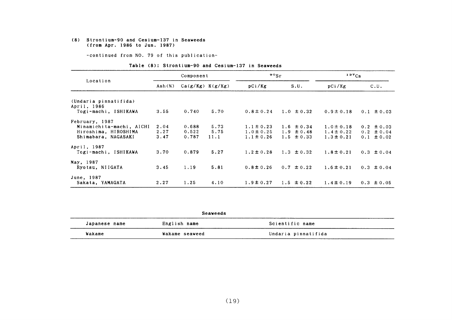#### (8) Strontium-90 and Cesium-137in Seaveeds (from Apr. 1986 to Jun. 1987)

-COntinued from NO.79 0f this publication-

#### Table (8): Strontium-90 and Cesium-137 in Seaweeds

|                                     |                           | Component            |      | $^{90}$ Sr     |                | $137C_S$       |                |
|-------------------------------------|---------------------------|----------------------|------|----------------|----------------|----------------|----------------|
| Location                            | $\text{Ash}(\mathcal{Z})$ | $Ca(g/Kg)$ $K(g/Kg)$ |      | pCi/Kg         | S.U.           | pCi/Kg         | C.U.           |
| (Undaria pinnatifida)               |                           |                      |      |                |                |                |                |
| April, 1986<br>Togi-machi, ISHIKAWA | 3.55                      | 0.740                | 5.70 | $0.8 \pm 0.24$ | $1.0 \pm 0.32$ | $0.9 \pm 0.18$ | $0.1 \pm 0.03$ |
| February, 1987                      |                           |                      |      |                |                |                |                |
| Minamichita-machi, AICHI            | 2.04                      | 0.688                | 5.73 | $1.1 \pm 0.23$ | $1.6 \pm 0.34$ | $1.0 \pm 0.18$ | $0.2 \pm 0.03$ |
| Hiroshima, HIROSHIMA                | 2.27                      | 0.522                | 5.75 | $1.0 \pm 0.25$ | $1.9 \pm 0.48$ | $1.4 \pm 0.22$ | $0.2 \pm 0.04$ |
| Shimabara, NAGASAKI                 | 3.47                      | 0.787                | 11.1 | $1.1 \pm 0.26$ | $1.5 \pm 0.33$ | $1.3 \pm 0.21$ | $0.1 \pm 0.02$ |
| April, 1987                         |                           |                      |      |                |                |                |                |
| Togi-machi, ISHIKAWA                | 3.70                      | 0.879                | 5.27 | $1.2 \pm 0.28$ | $1.3 \pm 0.32$ | $1.8 \pm 0.21$ | $0.3 \pm 0.04$ |
| May, 1987                           |                           |                      |      |                |                |                |                |
| Ryotsu, NIIGATA                     | 3.45                      | 1.19                 | 5.81 | $0.8 \pm 0.26$ | $0.7 \pm 0.22$ | $1.6 \pm 0.21$ | $0.3 \pm 0.04$ |
| June, 1987                          |                           |                      |      |                |                |                |                |
| Sakata, YAMAGATA                    | 2.27                      | 1.25                 | 4.10 | $1.9 \pm 0.27$ | $1.5 \pm 0.22$ | $1.4 \pm 0.19$ | $0.3 \pm 0.05$ |

|               | Seaweeds       |                     |  |
|---------------|----------------|---------------------|--|
| Japanese name | English name   | Scientific name     |  |
| Wakame        | Wakame seaweed | Undaria pinnatifida |  |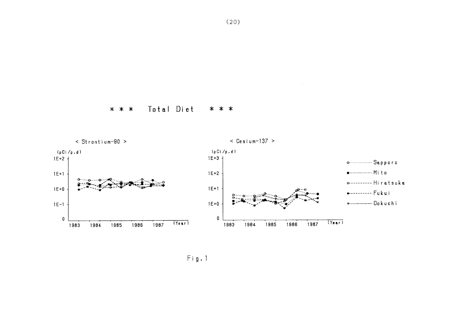

Total Diet \* \* \* \* \* \*

 $Fig. 1$ 

 $(20)$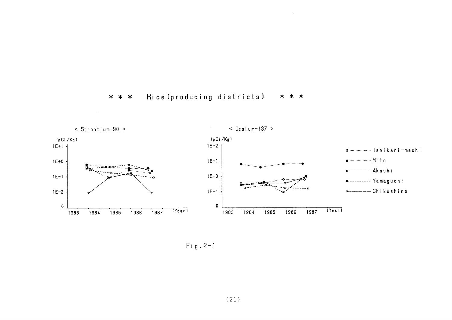



 $\sim 10^{-7}$ 

 $Fig. 2-1$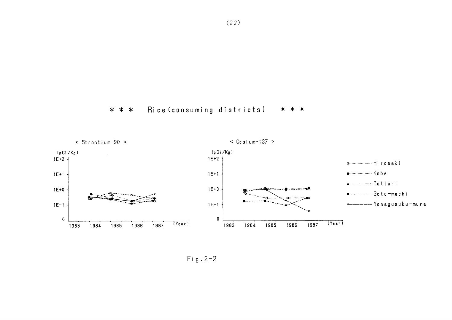



 $Fig. 2-2$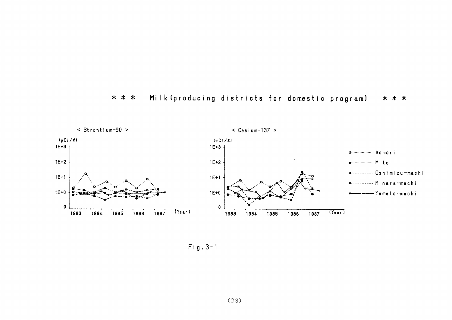



 $Fig. 3-1$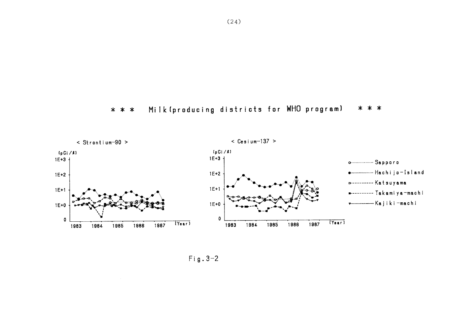



 $Fig. 3-2$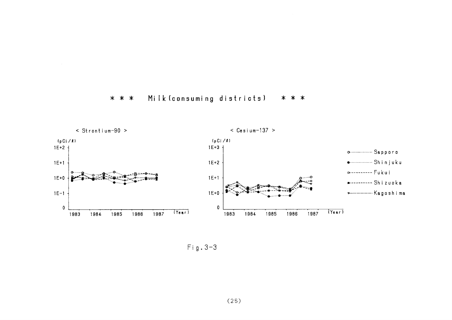



 $Fig. 3-3$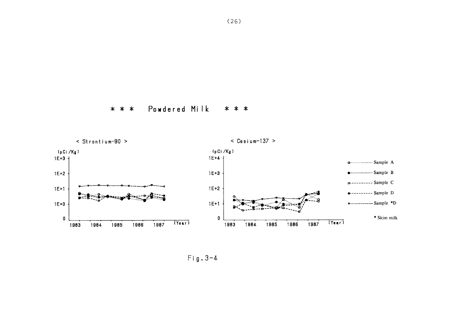$(26)$ 

Powdered Milk \* \* \* \* \* \*



 $Fig. 3-4$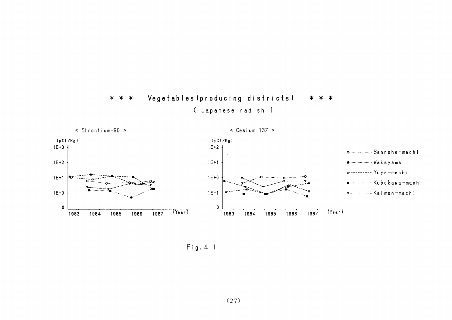



 $Fig. 4-1$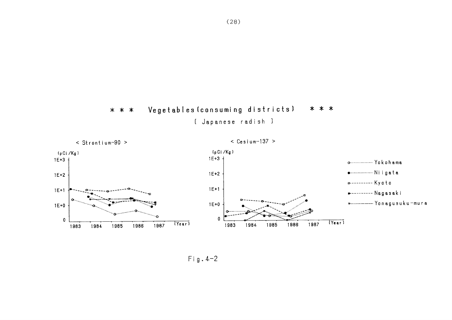



 $Fig. 4-2$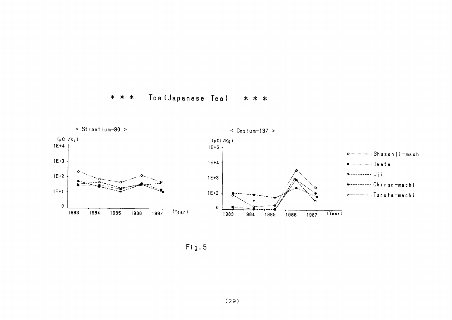



Fig.5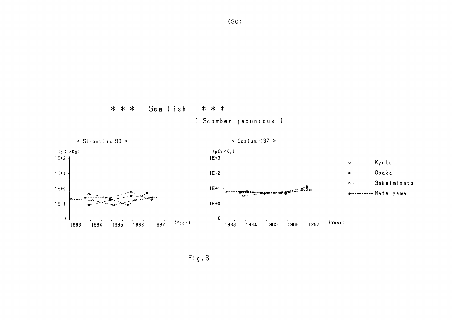

[ Scomber japonicus ]

\* \* \*

 $\mathsf{Fig.6}$ 

Sea Fish

\* \* \*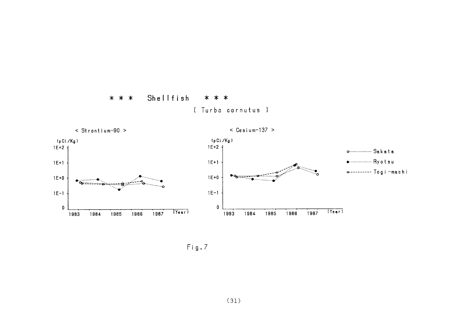



 $Fig.7$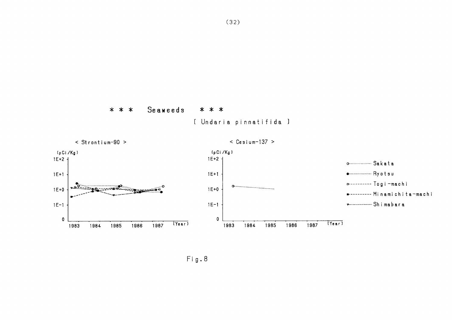

[ Undaria pinnatifida ]



Seaweeds

 $* * *$ 

\* \* \*